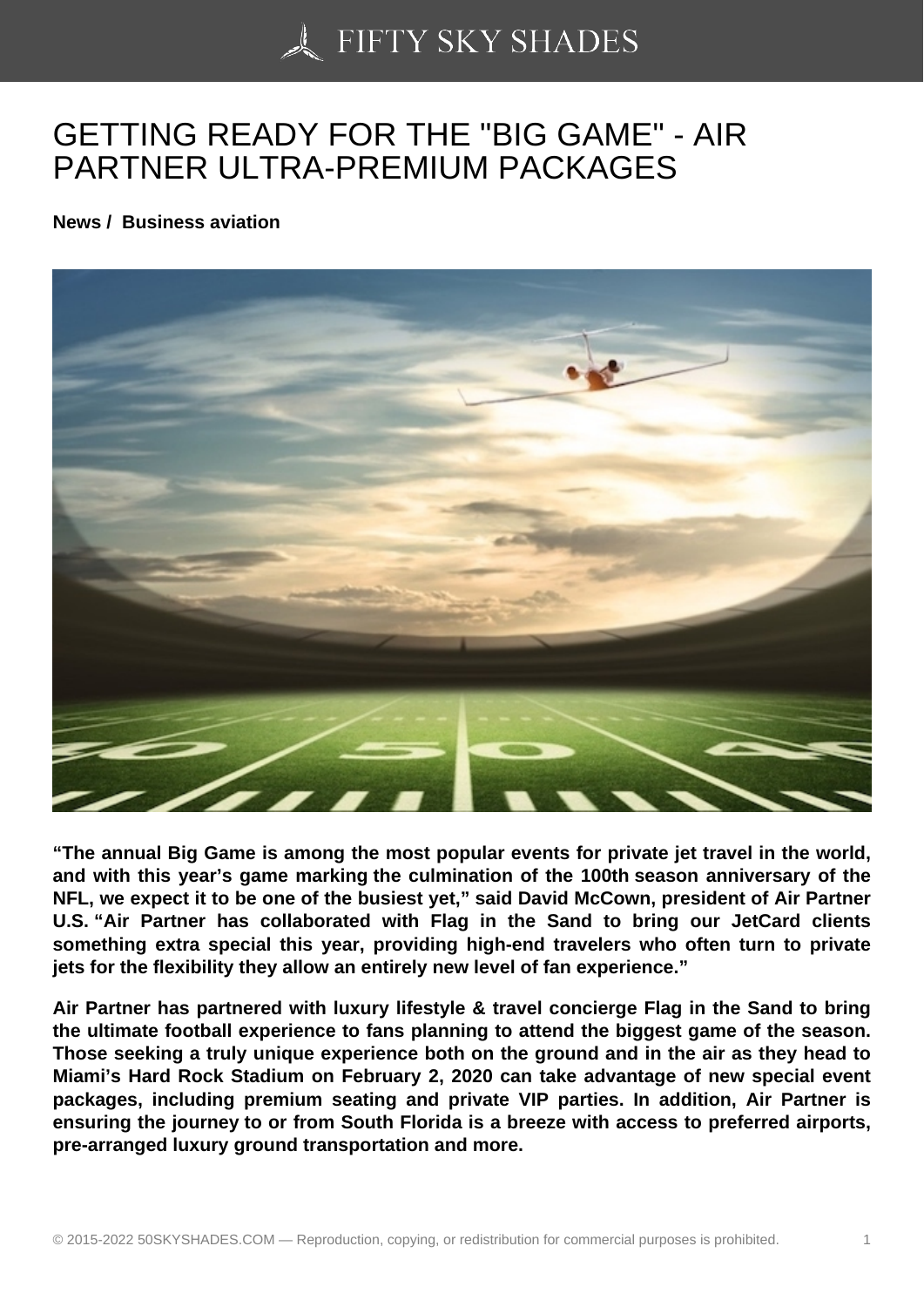## [GETTING READY FOR](https://50skyshades.com) THE "BIG GAME" - AIR PARTNER ULTRA-PREMIUM PACKAGES

News / Business aviation

"The annual Big Game is among the most popular events for private jet travel in the world, and with this year's game marking the culmination of the 100th season anniversary of the NFL, we expect it to be one of the busiest yet," said David McCown, president of Air Partner U.S. "Air Partner has collaborated with Flag in the Sand to bring our JetCard clients something extra special this year, providing high-end travelers who often turn to private jets for the flexibility they allow an entirely new level of fan experience."

Air Partner has partnered with luxury lifestyle & travel concierge Flag in the Sand to bring the ultimate football experience to fans planning to attend the biggest game of the season. Those seeking a truly unique experience both on the ground and in the air as they head to Miami's Hard Rock Stadium on February 2, 2020 can take advantage of new special event packages, including premium seating and private VIP parties. In addition, Air Partner is ensuring the journey to or from South Florida is a breeze with access to preferred airports, pre-arranged luxury ground transportation and more.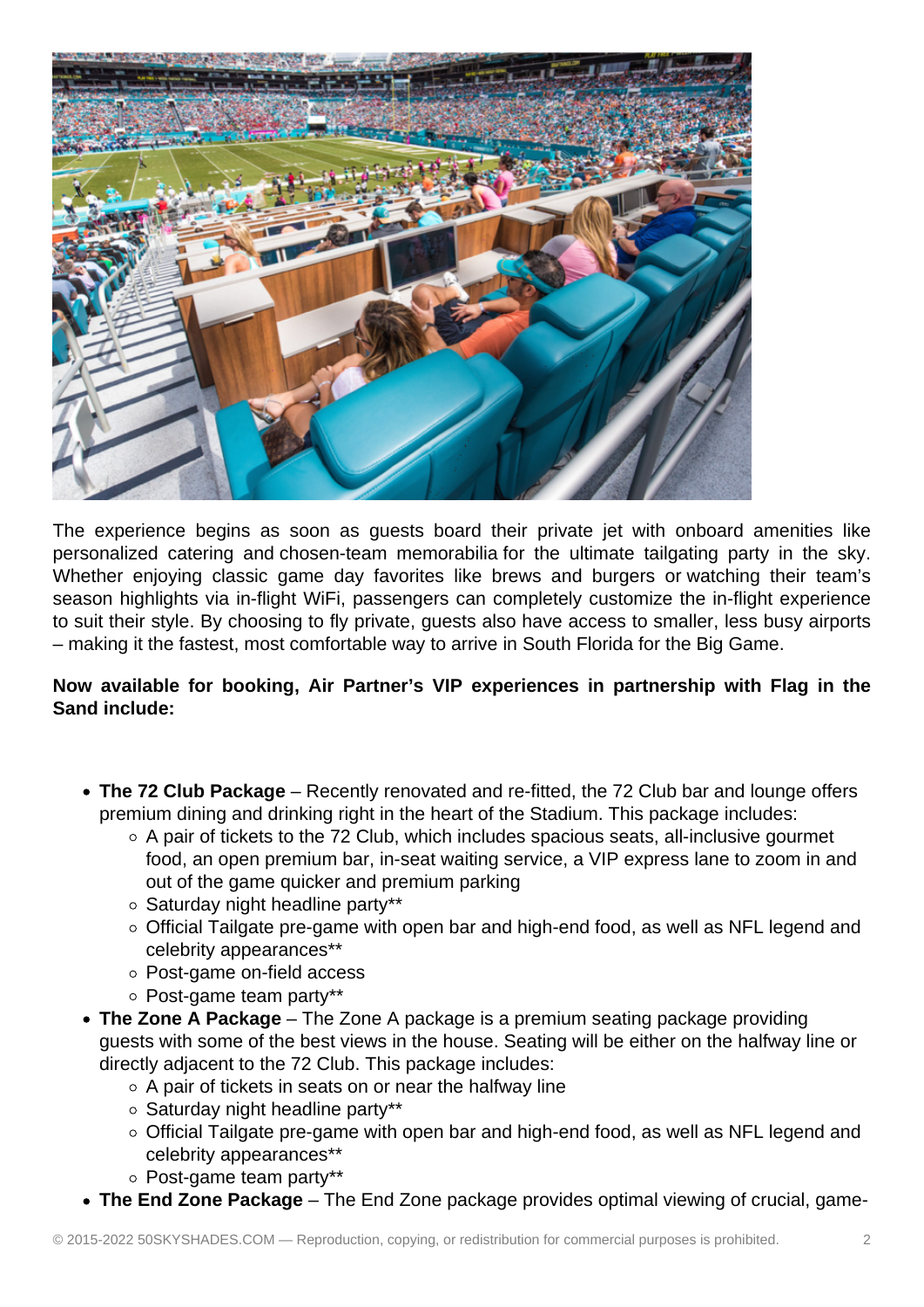

The experience begins as soon as guests board their private jet with onboard amenities like personalized catering and chosen-team memorabilia for the ultimate tailgating party in the sky. Whether enjoying classic game day favorites like brews and burgers or watching their team's season highlights via in-flight WiFi, passengers can completely customize the in-flight experience to suit their style. By choosing to fly private, guests also have access to smaller, less busy airports – making it the fastest, most comfortable way to arrive in South Florida for the Big Game.

**Now available for booking, Air Partner's VIP experiences in partnership with Flag in the Sand include:**

- **The 72 Club Package** Recently renovated and re-fitted, the 72 Club bar and lounge offers premium dining and drinking right in the heart of the Stadium. This package includes:
	- $\circ$  A pair of tickets to the 72 Club, which includes spacious seats, all-inclusive gourmet food, an open premium bar, in-seat waiting service, a VIP express lane to zoom in and out of the game quicker and premium parking
	- o Saturday night headline party\*\*
	- Official Tailgate pre-game with open bar and high-end food, as well as NFL legend and celebrity appearances\*\*
	- Post-game on-field access
	- Post-game team party\*\*
- **The Zone A Package** The Zone A package is a premium seating package providing guests with some of the best views in the house. Seating will be either on the halfway line or directly adjacent to the 72 Club. This package includes:
	- $\circ$  A pair of tickets in seats on or near the halfway line
	- o Saturday night headline partv\*\*
	- Official Tailgate pre-game with open bar and high-end food, as well as NFL legend and celebrity appearances\*\*
	- Post-game team party\*\*
- **The End Zone Package** The End Zone package provides optimal viewing of crucial, game-